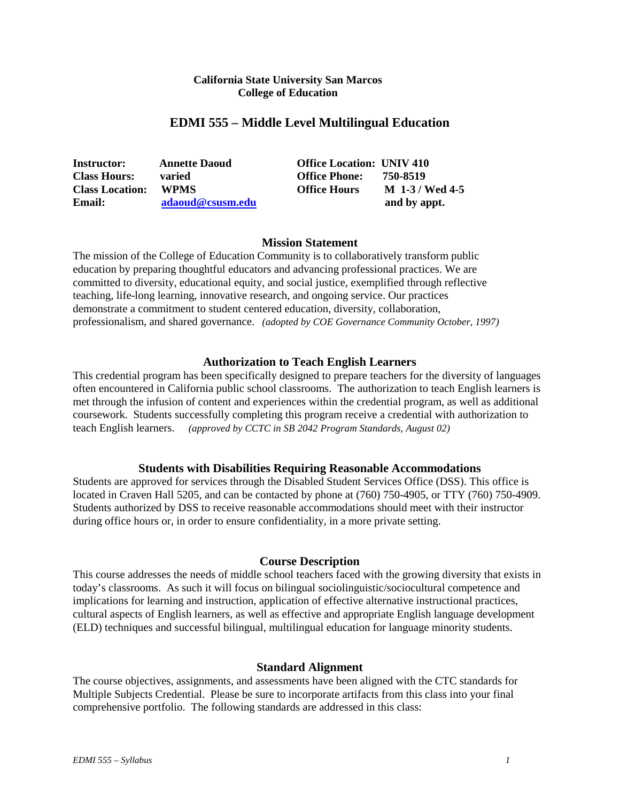## **California State University San Marcos College of Education**

## **EDMI 555 – Middle Level Multilingual Education**

| <b>Instructor:</b>     | <b>Annette Daoud</b> | <b>Office Location: UNIV 410</b> |                 |
|------------------------|----------------------|----------------------------------|-----------------|
| <b>Class Hours:</b>    | varied               | <b>Office Phone:</b>             | 750-8519        |
| <b>Class Location:</b> | <b>WPMS</b>          | <b>Office Hours</b>              | M 1-3 / Wed 4-5 |
| Email:                 | adaoud@csusm.edu     |                                  | and by appt.    |

## **Mission Statement**

The mission of the College of Education Community is to collaboratively transform public education by preparing thoughtful educators and advancing professional practices. We are committed to diversity, educational equity, and social justice, exemplified through reflective teaching, life-long learning, innovative research, and ongoing service. Our practices demonstrate a commitment to student centered education, diversity, collaboration, professionalism, and shared governance. *(adopted by COE Governance Community October, 1997)*

## **Authorization to Teach English Learners**

This credential program has been specifically designed to prepare teachers for the diversity of languages often encountered in California public school classrooms. The authorization to teach English learners is met through the infusion of content and experiences within the credential program, as well as additional coursework. Students successfully completing this program receive a credential with authorization to teach English learners. *(approved by CCTC in SB 2042 Program Standards, August 02)*

### **Students with Disabilities Requiring Reasonable Accommodations**

Students are approved for services through the Disabled Student Services Office (DSS). This office is located in Craven Hall 5205, and can be contacted by phone at (760) 750-4905, or TTY (760) 750-4909. Students authorized by DSS to receive reasonable accommodations should meet with their instructor during office hours or, in order to ensure confidentiality, in a more private setting.

## **Course Description**

This course addresses the needs of middle school teachers faced with the growing diversity that exists in today's classrooms. As such it will focus on bilingual sociolinguistic/sociocultural competence and implications for learning and instruction, application of effective alternative instructional practices, cultural aspects of English learners, as well as effective and appropriate English language development (ELD) techniques and successful bilingual, multilingual education for language minority students.

#### **Standard Alignment**

The course objectives, assignments, and assessments have been aligned with the CTC standards for Multiple Subjects Credential. Please be sure to incorporate artifacts from this class into your final comprehensive portfolio. The following standards are addressed in this class: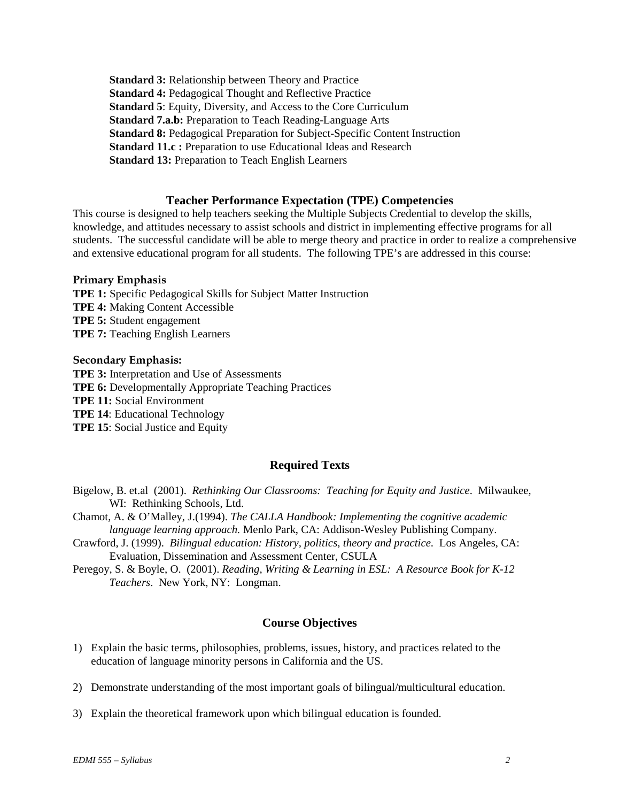**Standard 3:** Relationship between Theory and Practice **Standard 4:** Pedagogical Thought and Reflective Practice **Standard 5**: Equity, Diversity, and Access to the Core Curriculum **Standard 7.a.b:** Preparation to Teach Reading-Language Arts **Standard 8:** Pedagogical Preparation for Subject-Specific Content Instruction **Standard 11.c :** Preparation to use Educational Ideas and Research **Standard 13:** Preparation to Teach English Learners

## **Teacher Performance Expectation (TPE) Competencies**

This course is designed to help teachers seeking the Multiple Subjects Credential to develop the skills, knowledge, and attitudes necessary to assist schools and district in implementing effective programs for all students. The successful candidate will be able to merge theory and practice in order to realize a comprehensive and extensive educational program for all students. The following TPE's are addressed in this course:

#### **Primary Emphasis**

**TPE 1:** Specific Pedagogical Skills for Subject Matter Instruction **TPE 4:** Making Content Accessible **TPE 5:** Student engagement **TPE 7:** Teaching English Learners

#### **Secondary Emphasis:**

**TPE 3:** Interpretation and Use of Assessments **TPE 6:** Developmentally Appropriate Teaching Practices **TPE 11:** Social Environment **TPE 14**: Educational Technology **TPE 15**: Social Justice and Equity

### **Required Texts**

- Bigelow, B. et.al (2001). *Rethinking Our Classrooms: Teaching for Equity and Justice*. Milwaukee, WI: Rethinking Schools, Ltd.
- Chamot, A. & O'Malley, J.(1994). *The CALLA Handbook: Implementing the cognitive academic language learning approach.* Menlo Park, CA: Addison-Wesley Publishing Company.
- Crawford, J. (1999). *Bilingual education: History, politics, theory and practice.* Los Angeles, CA: Evaluation, Dissemination and Assessment Center, CSULA
- Peregoy, S. & Boyle, O. (2001). *Reading, Writing & Learning in ESL: A Resource Book for K-12 Teachers*. New York, NY: Longman.

#### **Course Objectives**

- 1) Explain the basic terms, philosophies, problems, issues, history, and practices related to the education of language minority persons in California and the US.
- 2) Demonstrate understanding of the most important goals of bilingual/multicultural education.
- 3) Explain the theoretical framework upon which bilingual education is founded.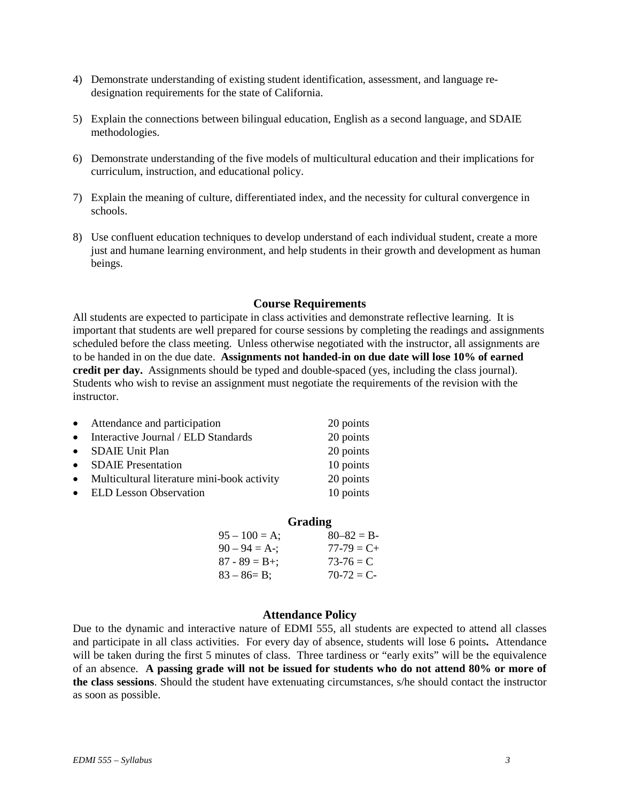- 4) Demonstrate understanding of existing student identification, assessment, and language redesignation requirements for the state of California.
- 5) Explain the connections between bilingual education, English as a second language, and SDAIE methodologies.
- 6) Demonstrate understanding of the five models of multicultural education and their implications for curriculum, instruction, and educational policy.
- 7) Explain the meaning of culture, differentiated index, and the necessity for cultural convergence in schools.
- 8) Use confluent education techniques to develop understand of each individual student, create a more just and humane learning environment, and help students in their growth and development as human beings.

## **Course Requirements**

All students are expected to participate in class activities and demonstrate reflective learning. It is important that students are well prepared for course sessions by completing the readings and assignments scheduled before the class meeting. Unless otherwise negotiated with the instructor, all assignments are to be handed in on the due date. **Assignments not handed-in on due date will lose 10% of earned credit per day.** Assignments should be typed and double-spaced (yes, including the class journal). Students who wish to revise an assignment must negotiate the requirements of the revision with the instructor.

|           | • Attendance and participation              | 20 points |
|-----------|---------------------------------------------|-----------|
| $\bullet$ | Interactive Journal / ELD Standards         | 20 points |
| $\bullet$ | SDAIE Unit Plan                             | 20 points |
| $\bullet$ | <b>SDAIE</b> Presentation                   | 10 points |
| $\bullet$ | Multicultural literature mini-book activity | 20 points |
|           | • ELD Lesson Observation                    | 10 points |
|           |                                             |           |

|                   | Grading          |
|-------------------|------------------|
| $95 - 100 = A$ ;  | $80 - 82 = B$    |
| $90 - 94 = A$ -;  | $77 - 79 = C +$  |
| $87 - 89 = B +$ ; | $73-76 = C$      |
| $83 - 86 = B$ ;   | $70-72 \equiv C$ |

#### **Attendance Policy**

Due to the dynamic and interactive nature of EDMI 555, all students are expected to attend all classes and participate in all class activities. For every day of absence, students will lose 6 points**.** Attendance will be taken during the first 5 minutes of class. Three tardiness or "early exits" will be the equivalence of an absence. **A passing grade will not be issued for students who do not attend 80% or more of the class sessions**. Should the student have extenuating circumstances, s/he should contact the instructor as soon as possible.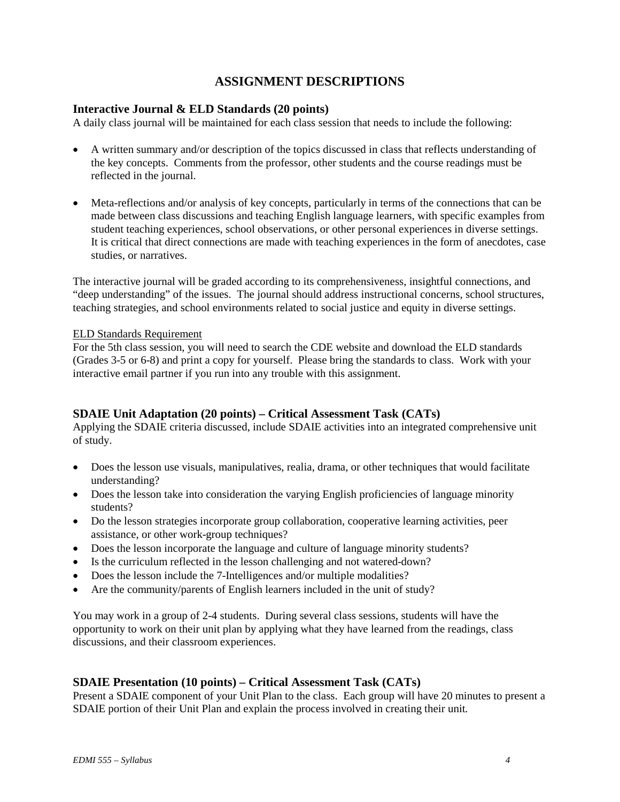## **ASSIGNMENT DESCRIPTIONS**

## **Interactive Journal & ELD Standards (20 points)**

A daily class journal will be maintained for each class session that needs to include the following:

- A written summary and/or description of the topics discussed in class that reflects understanding of the key concepts. Comments from the professor, other students and the course readings must be reflected in the journal.
- Meta-reflections and/or analysis of key concepts, particularly in terms of the connections that can be made between class discussions and teaching English language learners, with specific examples from student teaching experiences, school observations, or other personal experiences in diverse settings. It is critical that direct connections are made with teaching experiences in the form of anecdotes, case studies, or narratives.

The interactive journal will be graded according to its comprehensiveness, insightful connections, and "deep understanding" of the issues. The journal should address instructional concerns, school structures, teaching strategies, and school environments related to social justice and equity in diverse settings.

## ELD Standards Requirement

For the 5th class session, you will need to search the CDE website and download the ELD standards (Grades 3-5 or 6-8) and print a copy for yourself. Please bring the standards to class. Work with your interactive email partner if you run into any trouble with this assignment.

## **SDAIE Unit Adaptation (20 points) – Critical Assessment Task (CATs)**

Applying the SDAIE criteria discussed, include SDAIE activities into an integrated comprehensive unit of study.

- Does the lesson use visuals, manipulatives, realia, drama, or other techniques that would facilitate understanding?
- Does the lesson take into consideration the varying English proficiencies of language minority students?
- Do the lesson strategies incorporate group collaboration, cooperative learning activities, peer assistance, or other work-group techniques?
- Does the lesson incorporate the language and culture of language minority students?
- Is the curriculum reflected in the lesson challenging and not watered-down?
- Does the lesson include the 7-Intelligences and/or multiple modalities?
- Are the community/parents of English learners included in the unit of study?

You may work in a group of 2-4 students. During several class sessions, students will have the opportunity to work on their unit plan by applying what they have learned from the readings, class discussions, and their classroom experiences.

## **SDAIE Presentation (10 points) – Critical Assessment Task (CATs)**

Present a SDAIE component of your Unit Plan to the class. Each group will have 20 minutes to present a SDAIE portion of their Unit Plan and explain the process involved in creating their unit*.*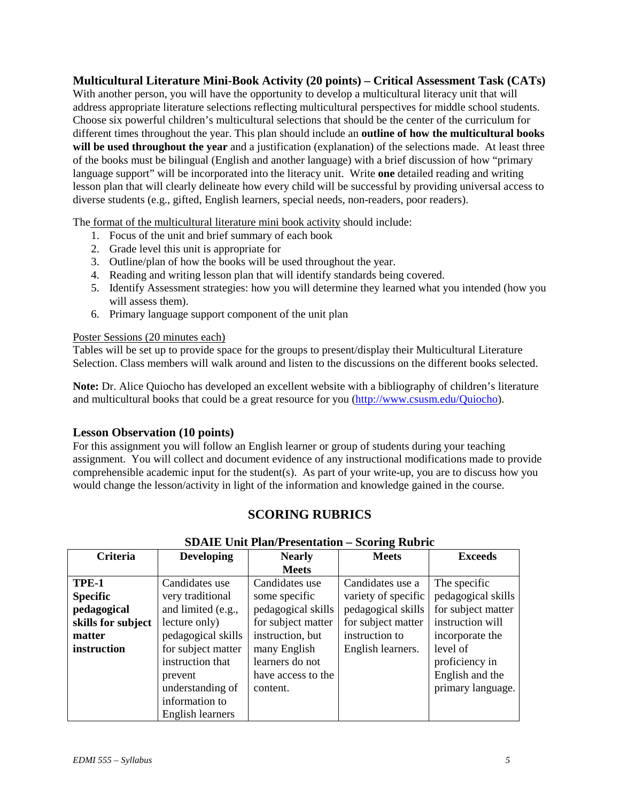## **Multicultural Literature Mini-Book Activity (20 points) – Critical Assessment Task (CATs)**

With another person, you will have the opportunity to develop a multicultural literacy unit that will address appropriate literature selections reflecting multicultural perspectives for middle school students. Choose six powerful children's multicultural selections that should be the center of the curriculum for different times throughout the year. This plan should include an **outline of how the multicultural books**  will be used throughout the year and a justification (explanation) of the selections made. At least three of the books must be bilingual (English and another language) with a brief discussion of how "primary language support" will be incorporated into the literacy unit. Write **one** detailed reading and writing lesson plan that will clearly delineate how every child will be successful by providing universal access to diverse students (e.g., gifted, English learners, special needs, non-readers, poor readers).

The format of the multicultural literature mini book activity should include:

- 1. Focus of the unit and brief summary of each book
- 2. Grade level this unit is appropriate for
- 3. Outline/plan of how the books will be used throughout the year.
- 4. Reading and writing lesson plan that will identify standards being covered.
- 5. Identify Assessment strategies: how you will determine they learned what you intended (how you will assess them).
- 6. Primary language support component of the unit plan

## Poster Sessions (20 minutes each)

Tables will be set up to provide space for the groups to present/display their Multicultural Literature Selection. Class members will walk around and listen to the discussions on the different books selected.

**Note:** Dr. Alice Quiocho has developed an excellent website with a bibliography of children's literature and multicultural books that could be a great resource for you [\(http://www.csusm.edu/Quiocho\)](http://www.csusm.edu/Quiocho).

## **Lesson Observation (10 points)**

For this assignment you will follow an English learner or group of students during your teaching assignment. You will collect and document evidence of any instructional modifications made to provide comprehensible academic input for the student(s). As part of your write-up, you are to discuss how you would change the lesson/activity in light of the information and knowledge gained in the course.

## **SCORING RUBRICS**

| Criteria           | <b>Developing</b>  | <b>Nearly</b>      | <b>Meets</b>        | <b>Exceeds</b>     |
|--------------------|--------------------|--------------------|---------------------|--------------------|
|                    |                    | <b>Meets</b>       |                     |                    |
| TPE-1              | Candidates use     | Candidates use     | Candidates use a    | The specific       |
| <b>Specific</b>    | very traditional   | some specific      | variety of specific | pedagogical skills |
| pedagogical        | and limited (e.g., | pedagogical skills | pedagogical skills  | for subject matter |
| skills for subject | lecture only)      | for subject matter | for subject matter  | instruction will   |
| matter             | pedagogical skills | instruction, but   | instruction to      | incorporate the    |
| instruction        | for subject matter | many English       | English learners.   | level of           |
|                    | instruction that   | learners do not    |                     | proficiency in     |
|                    | prevent            | have access to the |                     | English and the    |
|                    | understanding of   | content.           |                     | primary language.  |
|                    | information to     |                    |                     |                    |
|                    | English learners   |                    |                     |                    |

## **SDAIE Unit Plan/Presentation – Scoring Rubric**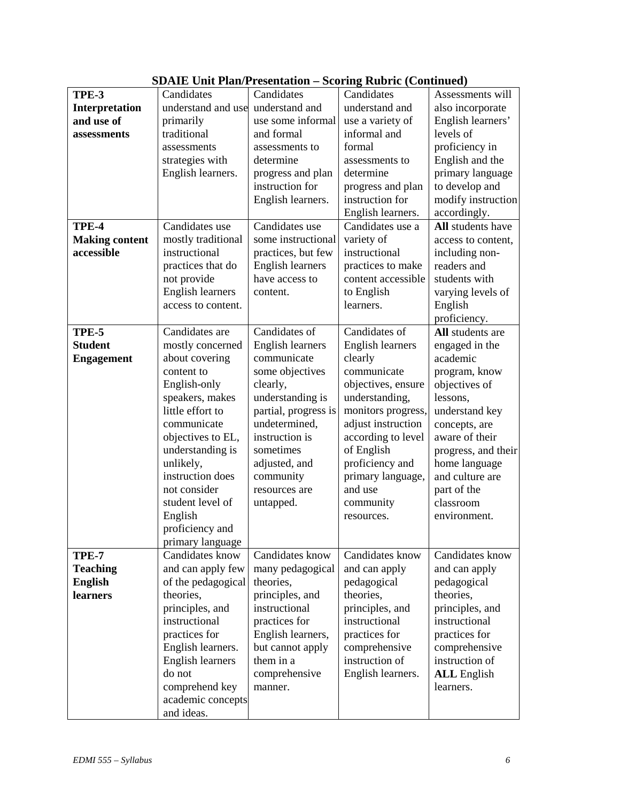|                       | $\beta$ DATE UMITTRADI I USUHAHUN – DUOI ME INDOTU (UONUMUU) |                         |                         |                     |
|-----------------------|--------------------------------------------------------------|-------------------------|-------------------------|---------------------|
| TPE-3                 | Candidates                                                   | Candidates              | Candidates              | Assessments will    |
| Interpretation        | understand and use                                           | understand and          | understand and          | also incorporate    |
| and use of            | primarily                                                    | use some informal       | use a variety of        | English learners'   |
| assessments           | traditional                                                  | and formal              | informal and            | levels of           |
|                       | assessments                                                  | assessments to          | formal                  | proficiency in      |
|                       | strategies with                                              | determine               | assessments to          | English and the     |
|                       | English learners.                                            | progress and plan       | determine               | primary language    |
|                       |                                                              | instruction for         | progress and plan       | to develop and      |
|                       |                                                              | English learners.       | instruction for         | modify instruction  |
|                       |                                                              |                         | English learners.       | accordingly.        |
| TPE-4                 | Candidates use                                               | Candidates use          | Candidates use a        | All students have   |
| <b>Making content</b> | mostly traditional                                           | some instructional      | variety of              | access to content,  |
| accessible            | instructional                                                | practices, but few      | instructional           | including non-      |
|                       | practices that do                                            | <b>English learners</b> | practices to make       | readers and         |
|                       | not provide                                                  | have access to          | content accessible      | students with       |
|                       | <b>English learners</b>                                      | content.                | to English              | varying levels of   |
|                       | access to content.                                           |                         | learners.               | English             |
|                       |                                                              |                         |                         | proficiency.        |
| TPE-5                 | Candidates are                                               | Candidates of           | Candidates of           | All students are    |
| <b>Student</b>        | mostly concerned                                             | <b>English learners</b> | <b>English learners</b> | engaged in the      |
| <b>Engagement</b>     | about covering                                               | communicate             | clearly                 | academic            |
|                       | content to                                                   | some objectives         | communicate             | program, know       |
|                       | English-only                                                 | clearly,                | objectives, ensure      | objectives of       |
|                       | speakers, makes                                              | understanding is        | understanding,          | lessons,            |
|                       | little effort to                                             | partial, progress is    | monitors progress,      | understand key      |
|                       | communicate                                                  | undetermined,           | adjust instruction      | concepts, are       |
|                       | objectives to EL,                                            | instruction is          | according to level      | aware of their      |
|                       | understanding is                                             | sometimes               | of English              | progress, and their |
|                       | unlikely,                                                    | adjusted, and           | proficiency and         | home language       |
|                       | instruction does                                             | community               | primary language,       | and culture are     |
|                       | not consider                                                 | resources are           | and use                 | part of the         |
|                       | student level of                                             |                         |                         | classroom           |
|                       |                                                              | untapped.               | community               |                     |
|                       | English                                                      |                         | resources.              | environment.        |
|                       | proficiency and                                              |                         |                         |                     |
|                       | primary language<br>Candidates know                          |                         |                         |                     |
| <b>TPE-7</b>          |                                                              | Candidates know         | Candidates know         | Candidates know     |
| <b>Teaching</b>       | and can apply few                                            | many pedagogical        | and can apply           | and can apply       |
| <b>English</b>        | of the pedagogical                                           | theories,               | pedagogical             | pedagogical         |
| <b>learners</b>       | theories,                                                    | principles, and         | theories,               | theories,           |
|                       | principles, and                                              | instructional           | principles, and         | principles, and     |
|                       | instructional                                                | practices for           | instructional           | instructional       |
|                       | practices for                                                | English learners,       | practices for           | practices for       |
|                       | English learners.                                            | but cannot apply        | comprehensive           | comprehensive       |
|                       | English learners                                             | them in a               | instruction of          | instruction of      |
|                       | do not                                                       | comprehensive           | English learners.       | <b>ALL</b> English  |
|                       | comprehend key                                               | manner.                 |                         | learners.           |
|                       | academic concepts                                            |                         |                         |                     |
|                       | and ideas.                                                   |                         |                         |                     |

## **SDAIE Unit Plan/Presentation – Scoring Rubric (Continued)**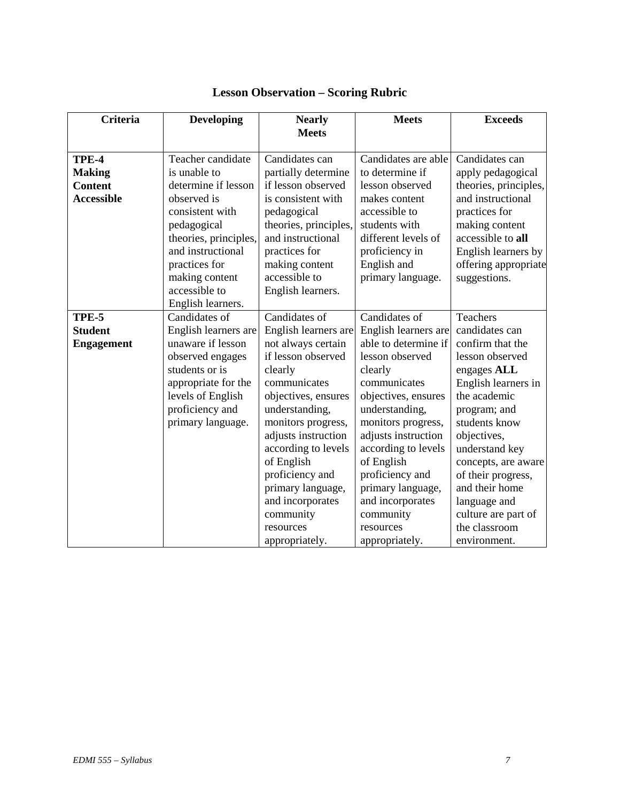| <b>Criteria</b>   | <b>Developing</b>     | <b>Nearly</b><br><b>Meets</b> | <b>Meets</b>                  | <b>Exceeds</b>                            |
|-------------------|-----------------------|-------------------------------|-------------------------------|-------------------------------------------|
| TPE-4             | Teacher candidate     | Candidates can                | Candidates are able           | Candidates can                            |
| <b>Making</b>     | is unable to          | partially determine           | to determine if               | apply pedagogical                         |
| <b>Content</b>    | determine if lesson   | if lesson observed            | lesson observed               | theories, principles,                     |
| <b>Accessible</b> | observed is           | is consistent with            | makes content                 | and instructional                         |
|                   | consistent with       | pedagogical                   | accessible to                 | practices for                             |
|                   | pedagogical           | theories, principles,         | students with                 | making content                            |
|                   | theories, principles, | and instructional             | different levels of           | accessible to all                         |
|                   | and instructional     | practices for                 | proficiency in                | English learners by                       |
|                   | practices for         | making content                | English and                   | offering appropriate                      |
|                   | making content        | accessible to                 | primary language.             | suggestions.                              |
|                   | accessible to         | English learners.             |                               |                                           |
|                   | English learners.     |                               |                               |                                           |
| TPE-5             | Candidates of         | Candidates of                 | Candidates of                 | <b>Teachers</b>                           |
| <b>Student</b>    | English learners are  | English learners are          | English learners are          | candidates can                            |
| <b>Engagement</b> | unaware if lesson     | not always certain            | able to determine if          | confirm that the                          |
|                   | observed engages      | if lesson observed            | lesson observed               | lesson observed                           |
|                   | students or is        | clearly                       | clearly                       | engages ALL                               |
|                   | appropriate for the   | communicates                  | communicates                  | English learners in                       |
|                   | levels of English     | objectives, ensures           | objectives, ensures           | the academic                              |
|                   | proficiency and       | understanding,                | understanding,                | program; and                              |
|                   | primary language.     | monitors progress,            | monitors progress,            | students know                             |
|                   |                       | adjusts instruction           | adjusts instruction           | objectives,                               |
|                   |                       | according to levels           | according to levels           | understand key                            |
|                   |                       | of English<br>proficiency and | of English<br>proficiency and | concepts, are aware<br>of their progress, |
|                   |                       | primary language,             | primary language,             | and their home                            |
|                   |                       | and incorporates              | and incorporates              | language and                              |
|                   |                       | community                     | community                     | culture are part of                       |
|                   |                       | resources                     | resources                     | the classroom                             |
|                   |                       | appropriately.                | appropriately.                | environment.                              |

# **Lesson Observation – Scoring Rubric**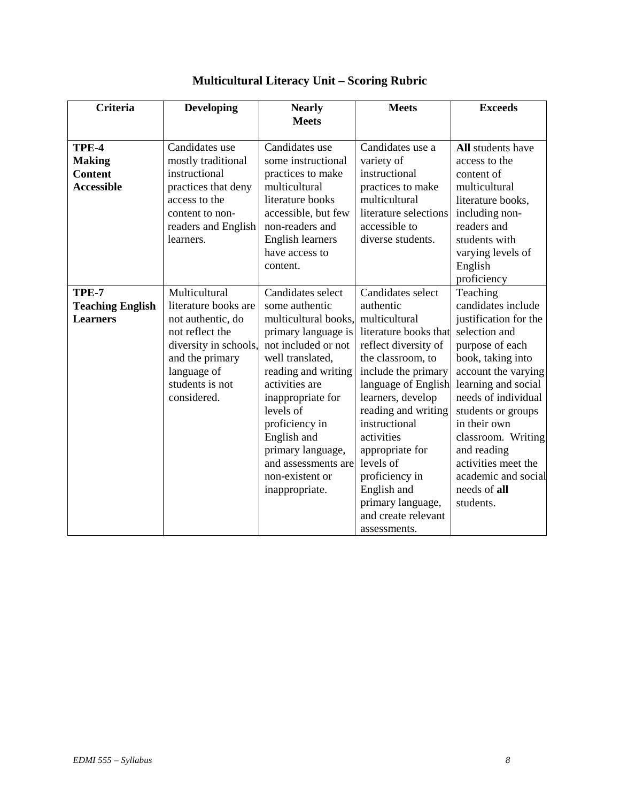| <b>Criteria</b>                                               | <b>Developing</b>                                                                                                                                                          | <b>Nearly</b><br><b>Meets</b>                                                                                                                                                                                                                                                                                              | <b>Meets</b>                                                                                                                                                                                                                                                                                                                                                                | <b>Exceeds</b>                                                                                                                                                                                                                                                                                                                              |
|---------------------------------------------------------------|----------------------------------------------------------------------------------------------------------------------------------------------------------------------------|----------------------------------------------------------------------------------------------------------------------------------------------------------------------------------------------------------------------------------------------------------------------------------------------------------------------------|-----------------------------------------------------------------------------------------------------------------------------------------------------------------------------------------------------------------------------------------------------------------------------------------------------------------------------------------------------------------------------|---------------------------------------------------------------------------------------------------------------------------------------------------------------------------------------------------------------------------------------------------------------------------------------------------------------------------------------------|
| TPE-4<br><b>Making</b><br><b>Content</b><br><b>Accessible</b> | Candidates use<br>mostly traditional<br>instructional<br>practices that deny<br>access to the<br>content to non-<br>readers and English<br>learners.                       | Candidates use<br>some instructional<br>practices to make<br>multicultural<br>literature books<br>accessible, but few<br>non-readers and<br><b>English learners</b><br>have access to<br>content.                                                                                                                          | Candidates use a<br>variety of<br>instructional<br>practices to make<br>multicultural<br>literature selections<br>accessible to<br>diverse students.                                                                                                                                                                                                                        | <b>All</b> students have<br>access to the<br>content of<br>multicultural<br>literature books,<br>including non-<br>readers and<br>students with<br>varying levels of<br>English<br>proficiency                                                                                                                                              |
| TPE-7<br><b>Teaching English</b><br><b>Learners</b>           | Multicultural<br>literature books are<br>not authentic, do<br>not reflect the<br>diversity in schools,<br>and the primary<br>language of<br>students is not<br>considered. | Candidates select<br>some authentic<br>multicultural books,<br>primary language is<br>not included or not<br>well translated,<br>reading and writing<br>activities are<br>inappropriate for<br>levels of<br>proficiency in<br>English and<br>primary language,<br>and assessments are<br>non-existent or<br>inappropriate. | Candidates select<br>authentic<br>multicultural<br>literature books that<br>reflect diversity of<br>the classroom, to<br>include the primary<br>language of English<br>learners, develop<br>reading and writing<br>instructional<br>activities<br>appropriate for<br>levels of<br>proficiency in<br>English and<br>primary language,<br>and create relevant<br>assessments. | Teaching<br>candidates include<br>justification for the<br>selection and<br>purpose of each<br>book, taking into<br>account the varying<br>learning and social<br>needs of individual<br>students or groups<br>in their own<br>classroom. Writing<br>and reading<br>activities meet the<br>academic and social<br>needs of all<br>students. |

# **Multicultural Literacy Unit – Scoring Rubric**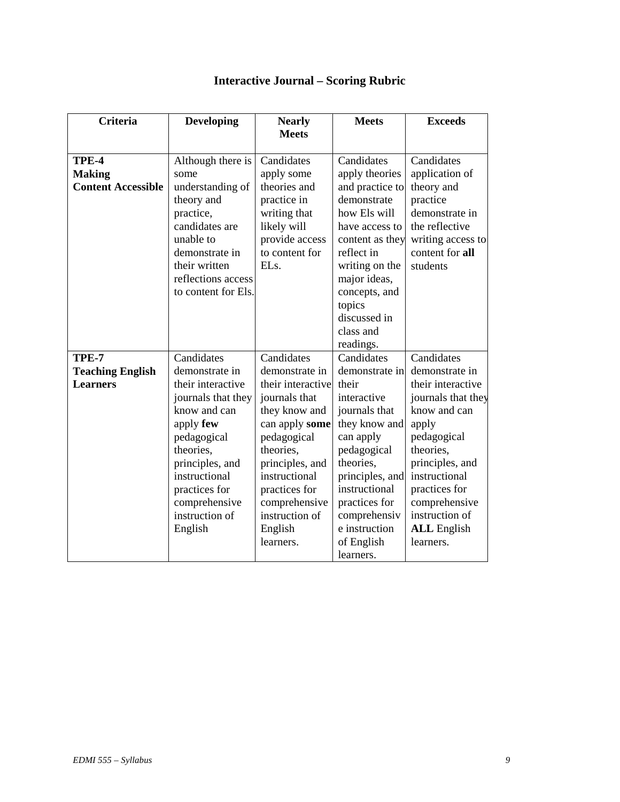# **Interactive Journal – Scoring Rubric**

| <b>Criteria</b>           | <b>Developing</b>   | <b>Nearly</b>     | <b>Meets</b>    | <b>Exceeds</b>     |
|---------------------------|---------------------|-------------------|-----------------|--------------------|
|                           |                     | <b>Meets</b>      |                 |                    |
|                           |                     |                   |                 |                    |
| TPE-4                     | Although there is   | Candidates        | Candidates      | Candidates         |
| <b>Making</b>             | some                | apply some        | apply theories  | application of     |
| <b>Content Accessible</b> | understanding of    | theories and      | and practice to | theory and         |
|                           | theory and          | practice in       | demonstrate     | practice           |
|                           | practice,           | writing that      | how Els will    | demonstrate in     |
|                           | candidates are      | likely will       | have access to  | the reflective     |
|                           | unable to           | provide access    | content as they | writing access to  |
|                           | demonstrate in      | to content for    | reflect in      | content for all    |
|                           | their written       | EL <sub>s</sub> . | writing on the  | students           |
|                           | reflections access  |                   | major ideas,    |                    |
|                           | to content for Els. |                   | concepts, and   |                    |
|                           |                     |                   | topics          |                    |
|                           |                     |                   | discussed in    |                    |
|                           |                     |                   | class and       |                    |
|                           |                     |                   | readings.       |                    |
| TPE-7                     | Candidates          | Candidates        | Candidates      | Candidates         |
| <b>Teaching English</b>   | demonstrate in      | demonstrate in    | demonstrate in  | demonstrate in     |
| <b>Learners</b>           | their interactive   | their interactive | their           | their interactive  |
|                           | journals that they  | journals that     | interactive     | journals that they |
|                           | know and can        | they know and     | journals that   | know and can       |
|                           | apply few           | can apply some    | they know and   | apply              |
|                           | pedagogical         | pedagogical       | can apply       | pedagogical        |
|                           | theories,           | theories,         | pedagogical     | theories,          |
|                           | principles, and     | principles, and   | theories,       | principles, and    |
|                           | instructional       | instructional     | principles, and | instructional      |
|                           | practices for       | practices for     | instructional   | practices for      |
|                           | comprehensive       | comprehensive     | practices for   | comprehensive      |
|                           | instruction of      | instruction of    | comprehensiv    | instruction of     |
|                           | English             | English           | e instruction   | <b>ALL</b> English |
|                           |                     | learners.         | of English      | learners.          |
|                           |                     |                   | learners.       |                    |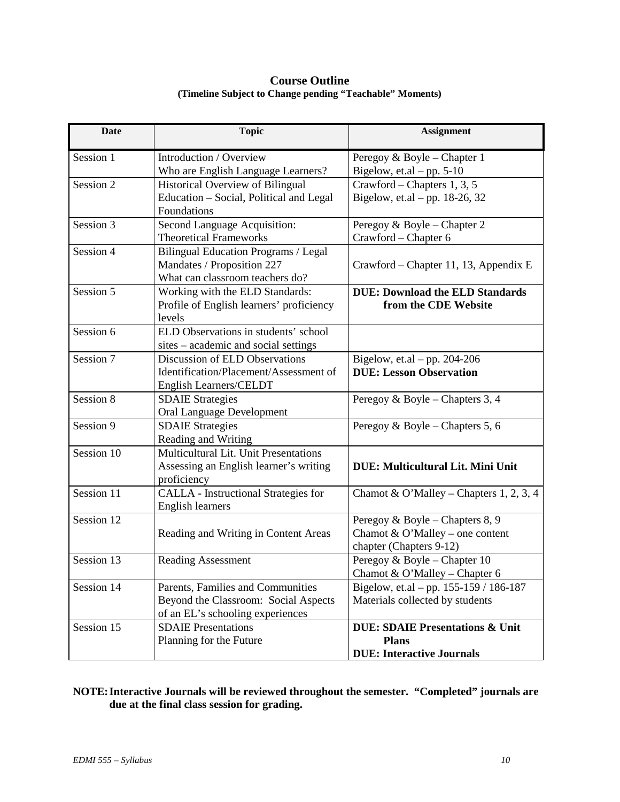## **Course Outline (Timeline Subject to Change pending "Teachable" Moments)**

| Date       | <b>Topic</b>                                                  | <b>Assignment</b>                                       |
|------------|---------------------------------------------------------------|---------------------------------------------------------|
| Session 1  | Introduction / Overview                                       | Peregoy & Boyle - Chapter 1                             |
|            | Who are English Language Learners?                            | Bigelow, et.al $-$ pp. 5-10                             |
| Session 2  | Historical Overview of Bilingual                              | Crawford – Chapters 1, 3, 5                             |
|            | Education - Social, Political and Legal<br>Foundations        | Bigelow, et.al – pp. $18-26$ , $32$                     |
| Session 3  |                                                               |                                                         |
|            | Second Language Acquisition:<br><b>Theoretical Frameworks</b> | Peregoy & Boyle - Chapter 2<br>Crawford - Chapter 6     |
| Session 4  | Bilingual Education Programs / Legal                          |                                                         |
|            | Mandates / Proposition 227                                    | Crawford – Chapter 11, 13, Appendix E                   |
|            | What can classroom teachers do?                               |                                                         |
| Session 5  | Working with the ELD Standards:                               | <b>DUE: Download the ELD Standards</b>                  |
|            | Profile of English learners' proficiency                      | from the CDE Website                                    |
|            | levels                                                        |                                                         |
| Session 6  | ELD Observations in students' school                          |                                                         |
|            | sites – academic and social settings                          |                                                         |
| Session 7  | Discussion of ELD Observations                                | Bigelow, et.al – pp. $204-206$                          |
|            | Identification/Placement/Assessment of                        | <b>DUE: Lesson Observation</b>                          |
|            | English Learners/CELDT                                        |                                                         |
| Session 8  | <b>SDAIE Strategies</b>                                       | Peregoy & Boyle – Chapters 3, 4                         |
|            | <b>Oral Language Development</b>                              |                                                         |
| Session 9  | <b>SDAIE Strategies</b>                                       | Peregoy & Boyle – Chapters 5, 6                         |
|            | Reading and Writing                                           |                                                         |
| Session 10 | Multicultural Lit. Unit Presentations                         |                                                         |
|            | Assessing an English learner's writing                        | <b>DUE: Multicultural Lit. Mini Unit</b>                |
|            | proficiency                                                   |                                                         |
| Session 11 | CALLA - Instructional Strategies for                          | Chamot & O'Malley – Chapters 1, 2, 3, 4                 |
|            | <b>English learners</b>                                       |                                                         |
| Session 12 |                                                               | Peregoy & Boyle - Chapters 8, 9                         |
|            | Reading and Writing in Content Areas                          | Chamot & O'Malley – one content                         |
| Session 13 | <b>Reading Assessment</b>                                     | chapter (Chapters 9-12)<br>Peregoy & Boyle - Chapter 10 |
|            |                                                               | Chamot & O'Malley - Chapter 6                           |
| Session 14 | Parents, Families and Communities                             | Bigelow, et.al – pp. 155-159 / 186-187                  |
|            | Beyond the Classroom: Social Aspects                          | Materials collected by students                         |
|            | of an EL's schooling experiences                              |                                                         |
| Session 15 | <b>SDAIE</b> Presentations                                    | <b>DUE: SDAIE Presentations &amp; Unit</b>              |
|            | Planning for the Future                                       | <b>Plans</b>                                            |
|            |                                                               | <b>DUE: Interactive Journals</b>                        |

## **NOTE:Interactive Journals will be reviewed throughout the semester. "Completed" journals are due at the final class session for grading.**